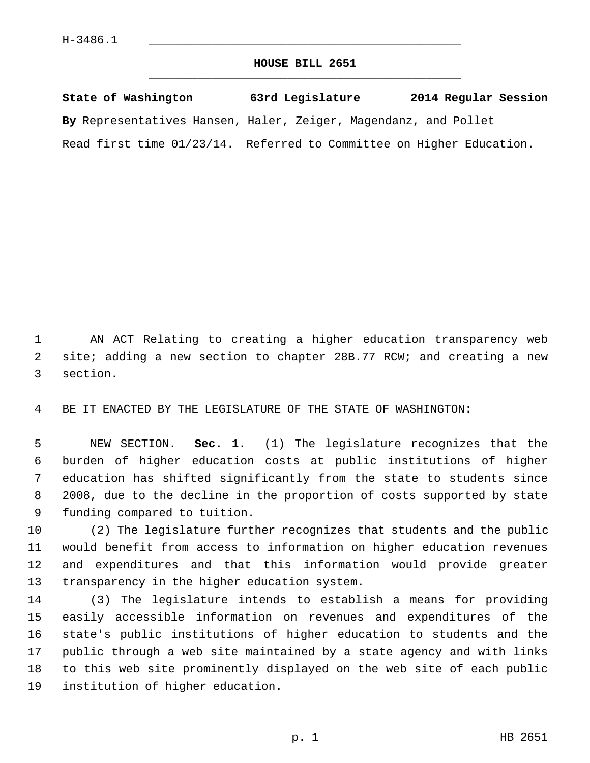## **HOUSE BILL 2651** \_\_\_\_\_\_\_\_\_\_\_\_\_\_\_\_\_\_\_\_\_\_\_\_\_\_\_\_\_\_\_\_\_\_\_\_\_\_\_\_\_\_\_\_\_

| State of Washington                                                  | 63rd Legislature | 2014 Regular Session |
|----------------------------------------------------------------------|------------------|----------------------|
| By Representatives Hansen, Haler, Zeiger, Magendanz, and Pollet      |                  |                      |
| Read first time 01/23/14. Referred to Committee on Higher Education. |                  |                      |

 1 AN ACT Relating to creating a higher education transparency web 2 site; adding a new section to chapter 28B.77 RCW; and creating a new 3 section.

4 BE IT ENACTED BY THE LEGISLATURE OF THE STATE OF WASHINGTON:

 5 NEW SECTION. **Sec. 1.** (1) The legislature recognizes that the 6 burden of higher education costs at public institutions of higher 7 education has shifted significantly from the state to students since 8 2008, due to the decline in the proportion of costs supported by state 9 funding compared to tuition.

10 (2) The legislature further recognizes that students and the public 11 would benefit from access to information on higher education revenues 12 and expenditures and that this information would provide greater 13 transparency in the higher education system.

14 (3) The legislature intends to establish a means for providing 15 easily accessible information on revenues and expenditures of the 16 state's public institutions of higher education to students and the 17 public through a web site maintained by a state agency and with links 18 to this web site prominently displayed on the web site of each public 19 institution of higher education.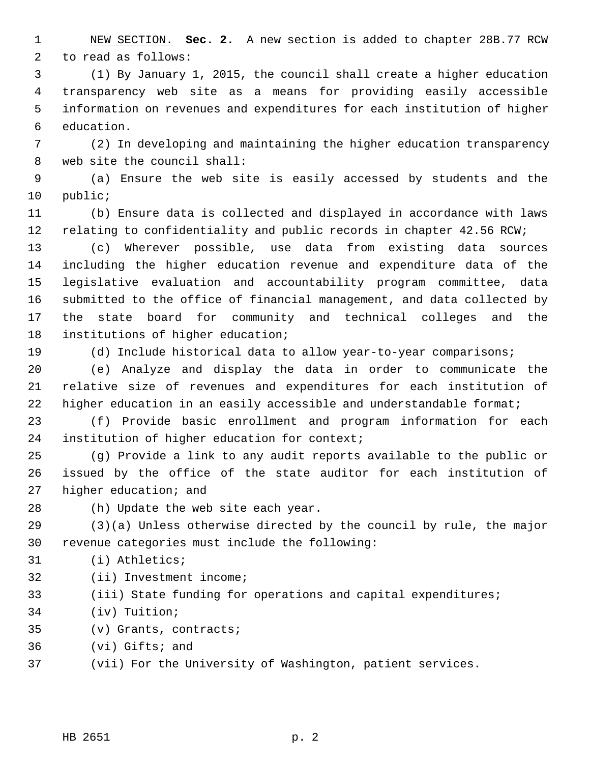1 NEW SECTION. **Sec. 2.** A new section is added to chapter 28B.77 RCW 2 to read as follows:

 3 (1) By January 1, 2015, the council shall create a higher education 4 transparency web site as a means for providing easily accessible 5 information on revenues and expenditures for each institution of higher 6 education.

 7 (2) In developing and maintaining the higher education transparency 8 web site the council shall:

 9 (a) Ensure the web site is easily accessed by students and the 10 public;

11 (b) Ensure data is collected and displayed in accordance with laws 12 relating to confidentiality and public records in chapter 42.56 RCW;

13 (c) Wherever possible, use data from existing data sources 14 including the higher education revenue and expenditure data of the 15 legislative evaluation and accountability program committee, data 16 submitted to the office of financial management, and data collected by 17 the state board for community and technical colleges and the 18 institutions of higher education;

19 (d) Include historical data to allow year-to-year comparisons;

20 (e) Analyze and display the data in order to communicate the 21 relative size of revenues and expenditures for each institution of 22 higher education in an easily accessible and understandable format;

23 (f) Provide basic enrollment and program information for each 24 institution of higher education for context;

25 (g) Provide a link to any audit reports available to the public or 26 issued by the office of the state auditor for each institution of 27 higher education; and

28 (h) Update the web site each year.

29 (3)(a) Unless otherwise directed by the council by rule, the major 30 revenue categories must include the following:

31 (i) Athletics;

- 32 (ii) Investment income;
- 33 (iii) State funding for operations and capital expenditures;
- 34 (iv) Tuition;
- 35 (v) Grants, contracts;
- 36 (vi) Gifts; and

37 (vii) For the University of Washington, patient services.